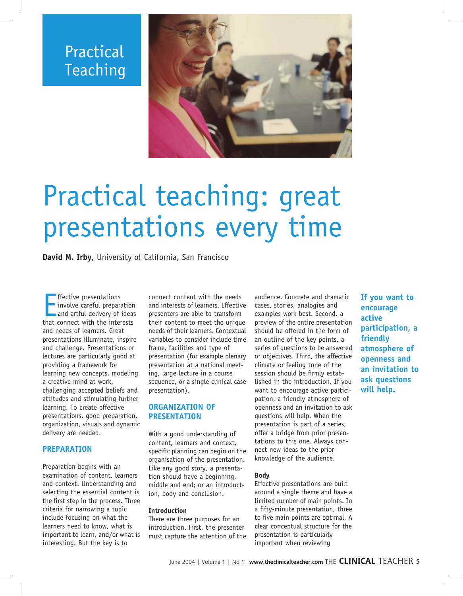# Practical Teaching



# Practical teaching: great presentations every time

David M. Irby, University of California, San Francisco

ffective presentations<br>involve careful preparation<br>and artful delivery of idea<br>that connect with the interests ffective presentations involve careful preparation and artful delivery of ideas and needs of learners. Great presentations illuminate, inspire and challenge. Presentations or lectures are particularly good at providing a framework for learning new concepts, modeling a creative mind at work, challenging accepted beliefs and attitudes and stimulating further learning. To create effective presentations, good preparation, organization, visuals and dynamic delivery are needed.

# PREPARATION

Preparation begins with an examination of content, learners and context. Understanding and selecting the essential content is the first step in the process. Three criteria for narrowing a topic include focusing on what the learners need to know, what is important to learn, and/or what is interesting. But the key is to

connect content with the needs and interests of learners. Effective presenters are able to transform their content to meet the unique needs of their learners. Contextual variables to consider include time frame, facilities and type of presentation (for example plenary presentation at a national meeting, large lecture in a course sequence, or a single clinical case presentation).

# ORGANIZATION OF **PRESENTATION**

With a good understanding of content, learners and context, specific planning can begin on the organisation of the presentation. Like any good story, a presentation should have a beginning, middle and end; or an introduction, body and conclusion.

#### Introduction

There are three purposes for an introduction. First, the presenter must capture the attention of the

audience. Concrete and dramatic cases, stories, analogies and examples work best. Second, a preview of the entire presentation should be offered in the form of an outline of the key points, a series of questions to be answered or objectives. Third, the affective climate or feeling tone of the session should be firmly established in the introduction. If you want to encourage active participation, a friendly atmosphere of openness and an invitation to ask questions will help. When the presentation is part of a series, offer a bridge from prior presentations to this one. Always connect new ideas to the prior knowledge of the audience.

# Body

Effective presentations are built around a single theme and have a limited number of main points. In a fifty-minute presentation, three to five main points are optimal. A clear conceptual structure for the presentation is particularly important when reviewing

If you want to encourage active participation, a friendly atmosphere of openness and an invitation to ask questions will help.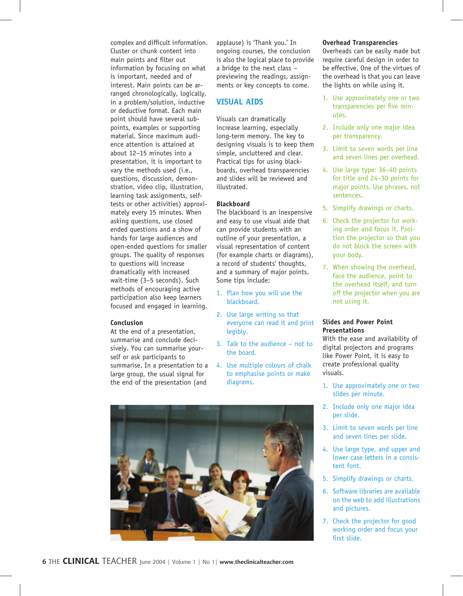complex and difficult information. Cluster or chunk content into main points and filter out information by focusing on what is important, needed and of interest. Main points can be arranged chronologically, logically, in a problem/solution, inductive or deductive format. Each main point should have several subpoints, examples or supporting material. Since maximum audience attention is attained at about 12–15 minutes into a presentation, it is important to vary the methods used (i.e., questions, discussion, demonstration, video clip, illustration, learning task assignments, selftests or other activities) approximately every 15 minutes. When asking questions, use closed ended questions and a show of hands for large audiences and open-ended questions for smaller groups. The quality of responses to questions will increase dramatically with increased wait-time (3–5 seconds). Such methods of encouraging active participation also keep learners focused and engaged in learning.

#### Conclusion

At the end of a presentation, summarise and conclude decisively. You can summarise yourself or ask participants to summarise. In a presentation to a large group, the usual signal for the end of the presentation (and

applause) is 'Thank you.' In ongoing courses, the conclusion is also the logical place to provide a bridge to the next class – previewing the readings, assignments or key concepts to come.

# VISUAL AIDS

Visuals can dramatically increase learning, especially long-term memory. The key to designing visuals is to keep them simple, uncluttered and clear. Practical tips for using blackboards, overhead transparencies and slides will be reviewed and illustrated.

# Blackboard

The blackboard is an inexpensive and easy to use visual aide that can provide students with an outline of your presentation, a visual representation of content (for example charts or diagrams), a record of students' thoughts, and a summary of major points. Some tips include:

- 1. Plan how you will use the blackboard.
- 2. Use large writing so that everyone can read it and print legibly.
- 3. Talk to the audience not to the board.
- 4. Use multiple colours of chalk to emphasise points or make diagrams.



### Overhead Transparencies

Overheads can be easily made but require careful design in order to be effective. One of the virtues of the overhead is that you can leave the lights on while using it.

- 1. Use approximately one or two transparencies per five minutes.
- 2. Include only one major idea per transparency.
- 3. Limit to seven words per line and seven lines per overhead.
- 4. Use large type: 36–40 points for title and 24–30 points for major points. Use phrases, not sentences.
- 5. Simplify drawings or charts.
- 6. Check the projector for working order and focus it. Position the projector so that you do not block the screen with your body.
- 7. When showing the overhead, face the audience, point to the overhead itself, and turn off the projector when you are not using it.

# Slides and Power Point **Presentations**

With the ease and availability of digital projectors and programs like Power Point, it is easy to create professional quality visuals.

- 1. Use approximately one or two slides per minute.
- 2. Include only one major idea per slide.
- 3. Limit to seven words per line and seven lines per slide.
- 4. Use large type, and upper and lower case letters in a consistent font.
- 5. Simplify drawings or charts.
- 6. Software libraries are available on the web to add illustrations and pictures.
- 7. Check the projector for good working order and focus your first slide.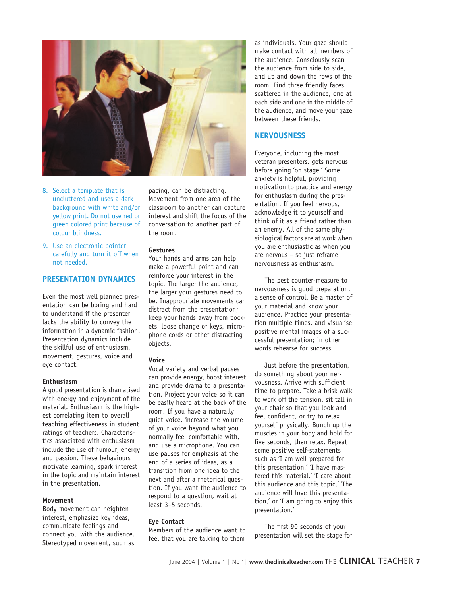

- 8. Select a template that is uncluttered and uses a dark background with white and/or yellow print. Do not use red or green colored print because of colour blindness.
- 9. Use an electronic pointer carefully and turn it off when not needed.

# PRESENTATION DYNAMICS

Even the most well planned presentation can be boring and hard to understand if the presenter lacks the ability to convey the information in a dynamic fashion. Presentation dynamics include the skillful use of enthusiasm, movement, gestures, voice and eye contact.

# Enthusiasm

A good presentation is dramatised with energy and enjoyment of the material. Enthusiasm is the highest correlating item to overall teaching effectiveness in student ratings of teachers. Characteristics associated with enthusiasm include the use of humour, energy and passion. These behaviours motivate learning, spark interest in the topic and maintain interest in the presentation.

### Movement

Body movement can heighten interest, emphasize key ideas, communicate feelings and connect you with the audience. Stereotyped movement, such as

pacing, can be distracting. Movement from one area of the classroom to another can capture interest and shift the focus of the conversation to another part of the room.

#### Gestures

Your hands and arms can help make a powerful point and can reinforce your interest in the topic. The larger the audience, the larger your gestures need to be. Inappropriate movements can distract from the presentation; keep your hands away from pockets, loose change or keys, microphone cords or other distracting objects.

#### Voice

Vocal variety and verbal pauses can provide energy, boost interest and provide drama to a presentation. Project your voice so it can be easily heard at the back of the room. If you have a naturally quiet voice, increase the volume of your voice beyond what you normally feel comfortable with, and use a microphone. You can use pauses for emphasis at the end of a series of ideas, as a transition from one idea to the next and after a rhetorical question. If you want the audience to respond to a question, wait at least 3–5 seconds.

## Eye Contact

Members of the audience want to feel that you are talking to them

as individuals. Your gaze should make contact with all members of the audience. Consciously scan the audience from side to side, and up and down the rows of the room. Find three friendly faces scattered in the audience, one at each side and one in the middle of the audience, and move your gaze between these friends.

# **NERVOUSNESS**

Everyone, including the most veteran presenters, gets nervous before going 'on stage.' Some anxiety is helpful, providing motivation to practice and energy for enthusiasm during the presentation. If you feel nervous, acknowledge it to yourself and think of it as a friend rather than an enemy. All of the same physiological factors are at work when you are enthusiastic as when you are nervous – so just reframe nervousness as enthusiasm.

The best counter-measure to nervousness is good preparation, a sense of control. Be a master of your material and know your audience. Practice your presentation multiple times, and visualise positive mental images of a successful presentation; in other words rehearse for success.

Just before the presentation, do something about your nervousness. Arrive with sufficient time to prepare. Take a brisk walk to work off the tension, sit tall in your chair so that you look and feel confident, or try to relax yourself physically. Bunch up the muscles in your body and hold for five seconds, then relax. Repeat some positive self-statements such as 'I am well prepared for this presentation,' 'I have mastered this material,' 'I care about this audience and this topic,' 'The audience will love this presentation,' or 'I am going to enjoy this presentation.'

The first 90 seconds of your presentation will set the stage for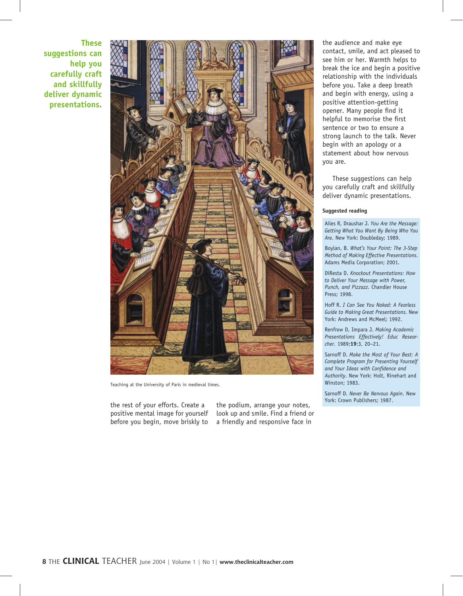These suggestions can help you carefully craft and skillfully deliver dynamic presentations.



Teaching at the University of Paris in medieval times.

the rest of your efforts. Create a positive mental image for yourself before you begin, move briskly to

the podium, arrange your notes, look up and smile. Find a friend or a friendly and responsive face in

the audience and make eye contact, smile, and act pleased to see him or her. Warmth helps to break the ice and begin a positive relationship with the individuals before you. Take a deep breath and begin with energy, using a positive attention-getting opener. Many people find it helpful to memorise the first sentence or two to ensure a strong launch to the talk. Never begin with an apology or a statement about how nervous you are.

These suggestions can help you carefully craft and skillfully deliver dynamic presentations.

#### Suggested reading

Ailes R, Draushar J. You Are the Message: Getting What You Want By Being Who You Are. New York: Doubleday; 1989.

Boylan, B. What's Your Point: The 3-Step Method of Making Effective Presentations. Adams Media Corporation; 2001.

DiResta D. Knockout Presentations: How to Deliver Your Message with Power, Punch, and Pizzazz. Chandler House Press; 1998.

Hoff R. I Can See You Naked: A Fearless Guide to Making Great Presentations. New York: Andrews and McMeel; 1992.

Renfrow D, Impara J. Making Academic Presentations Effectively! Educ Researcher. 1989;19:3, 20-21.

Sarnoff D. Make the Most of Your Best: A Complete Program for Presenting Yourself and Your Ideas with Confidence and Authority. New York: Holt, Rinehart and Winston; 1983.

Sarnoff D. Never Be Nervous Again. New York: Crown Publishers; 1987.